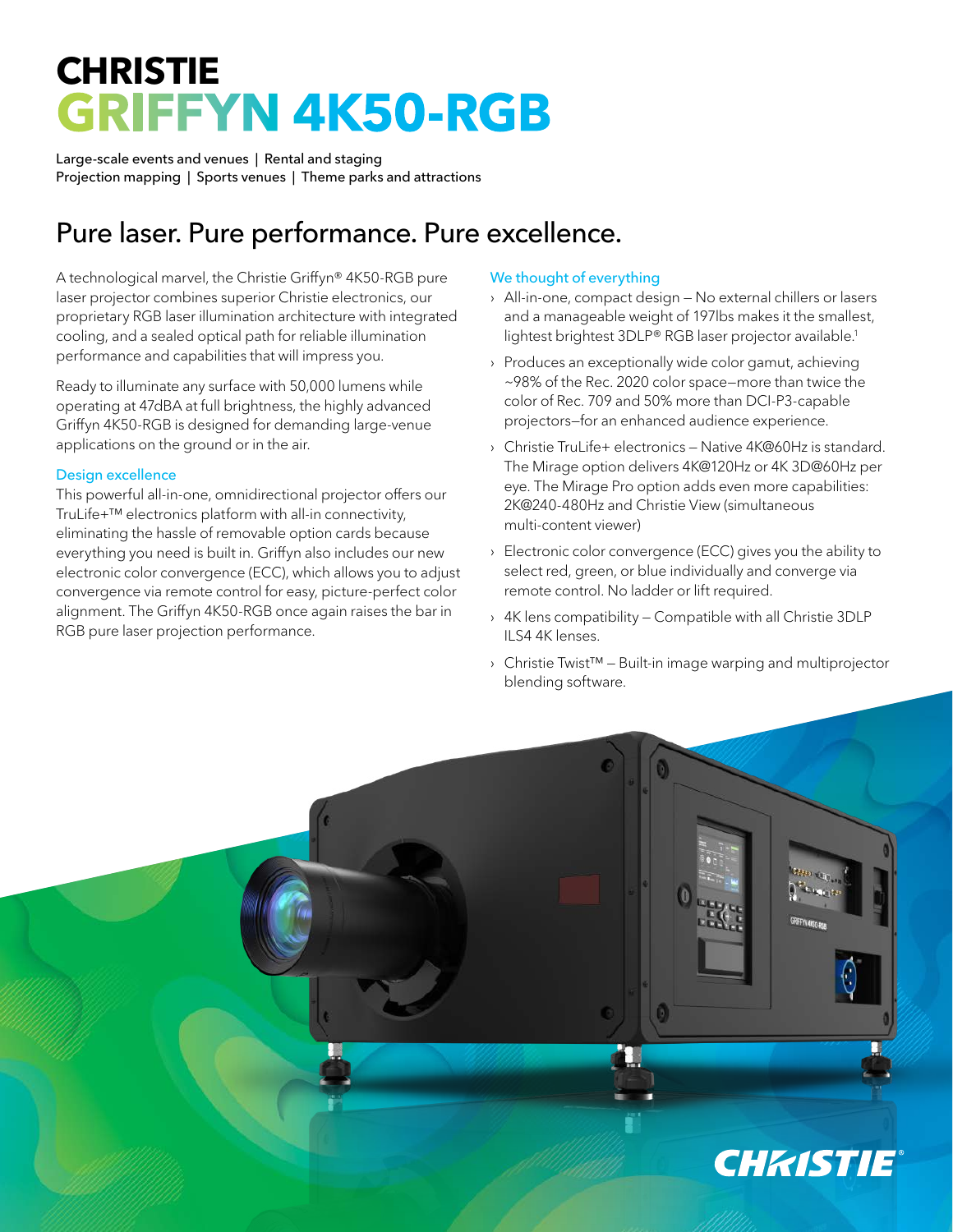## **CHRISTIE GRIFFYN 4K50-RGB**

Large-scale events and venues | Rental and staging Projection mapping | Sports venues | Theme parks and attractions

## Pure laser. Pure performance. Pure excellence.

A technological marvel, the Christie Griffyn® 4K50-RGB pure laser projector combines superior Christie electronics, our proprietary RGB laser illumination architecture with integrated cooling, and a sealed optical path for reliable illumination performance and capabilities that will impress you.

Ready to illuminate any surface with 50,000 lumens while operating at 47dBA at full brightness, the highly advanced Griffyn 4K50-RGB is designed for demanding large-venue applications on the ground or in the air.

## Design excellence

This powerful all-in-one, omnidirectional projector offers our TruLife+™ electronics platform with all-in connectivity, eliminating the hassle of removable option cards because everything you need is built in. Griffyn also includes our new electronic color convergence (ECC), which allows you to adjust convergence via remote control for easy, picture-perfect color alignment. The Griffyn 4K50-RGB once again raises the bar in RGB pure laser projection performance.

## We thought of everything

- › All-in-one, compact design No external chillers or lasers and a manageable weight of 197lbs makes it the smallest, lightest brightest 3DLP® RGB laser projector available.<sup>1</sup>
- › Produces an exceptionally wide color gamut, achieving ~98% of the Rec. 2020 color space—more than twice the color of Rec. 709 and 50% more than DCI-P3-capable projectors—for an enhanced audience experience.
- › Christie TruLife+ electronics Native 4K@60Hz is standard. The Mirage option delivers 4K@120Hz or 4K 3D@60Hz per eye. The Mirage Pro option adds even more capabilities: 2K@240-480Hz and Christie View (simultaneous multi-content viewer)
- › Electronic color convergence (ECC) gives you the ability to select red, green, or blue individually and converge via remote control. No ladder or lift required.
- › 4K lens compatibility Compatible with all Christie 3DLP ILS4 4K lenses.
- › Christie Twist™ Built-in image warping and multiprojector blending software.